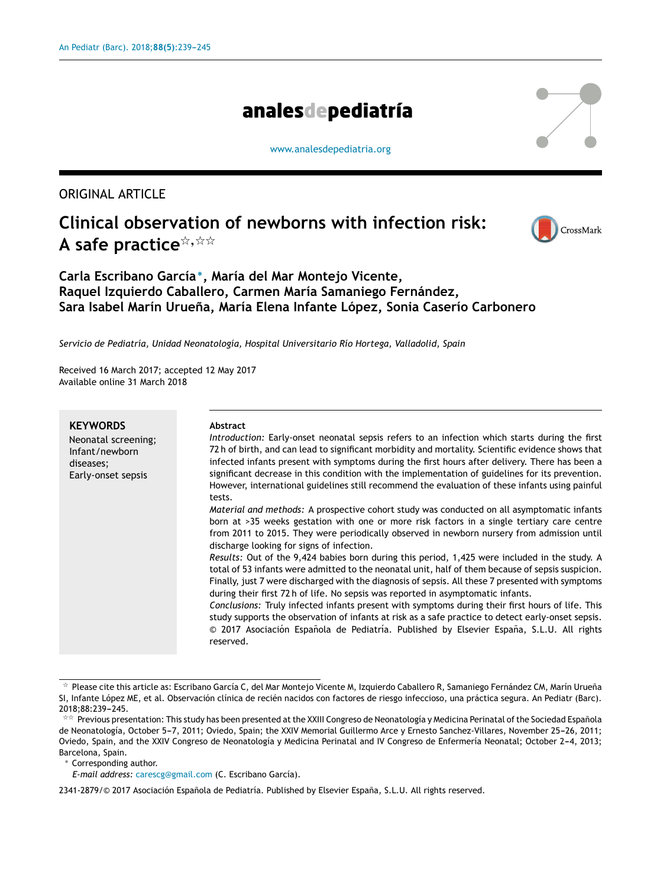# analesdepediatría

[www.analesdepediatria.org](http://www.analesdepediatria.org)

ORIGINAL ARTICLE

# **Clinical observation of newborns with infection risk:**  $\blacksquare$  A safe practice $\stackrel{\star}{\scriptscriptstyle\star},\stackrel{\star}{\scriptscriptstyle\star}\stackrel{\star}{\scriptscriptstyle\star}$



# **Carla Escribano García** <sup>∗</sup> **, María del Mar Montejo Vicente, Raquel Izquierdo Caballero, Carmen María Samaniego Fernández, Sara Isabel Marín Uruena, ˜ María Elena Infante López, Sonia Caserío Carbonero**

*Servicio de Pediatría, Unidad Neonatología, Hospital Universitario Río Hortega, Valladolid, Spain*

Received 16 March 2017; accepted 12 May 2017 Available online 31 March 2018

| <b>KEYWORDS</b><br>Neonatal screening;<br>Infant/newborn<br>diseases;<br>Early-onset sepsis | <b>Abstract</b><br>Introduction: Early-onset neonatal sepsis refers to an infection which starts during the first<br>72 h of birth, and can lead to significant morbidity and mortality. Scientific evidence shows that<br>infected infants present with symptoms during the first hours after delivery. There has been a<br>significant decrease in this condition with the implementation of guidelines for its prevention.<br>However, international guidelines still recommend the evaluation of these infants using painful<br>tests. |
|---------------------------------------------------------------------------------------------|--------------------------------------------------------------------------------------------------------------------------------------------------------------------------------------------------------------------------------------------------------------------------------------------------------------------------------------------------------------------------------------------------------------------------------------------------------------------------------------------------------------------------------------------|
|                                                                                             | Material and methods: A prospective cohort study was conducted on all asymptomatic infants<br>born at >35 weeks gestation with one or more risk factors in a single tertiary care centre<br>from 2011 to 2015. They were periodically observed in newborn nursery from admission until<br>discharge looking for signs of infection.                                                                                                                                                                                                        |
|                                                                                             | Results: Out of the 9,424 babies born during this period, 1,425 were included in the study. A<br>total of 53 infants were admitted to the neonatal unit, half of them because of sepsis suspicion.<br>Finally, just 7 were discharged with the diagnosis of sepsis. All these 7 presented with symptoms<br>during their first 72 h of life. No sepsis was reported in asymptomatic infants.                                                                                                                                                |
|                                                                                             | Conclusions: Truly infected infants present with symptoms during their first hours of life. This<br>study supports the observation of infants at risk as a safe practice to detect early-onset sepsis.<br>© 2017 Asociación Española de Pediatría. Published by Elsevier España, S.L.U. All rights<br>reserved.                                                                                                                                                                                                                            |

 $^\star$  Please cite this article as: Escribano García C, del Mar Montejo Vicente M, Izquierdo Caballero R, Samaniego Fernández CM, Marín Urueña SI, Infante López ME, et al. Observación clínica de recién nacidos con factores de riesgo infeccioso, una práctica segura. An Pediatr (Barc). 2018;88:239-245.

<sup>∗</sup> Corresponding author.

*E-mail address:* [carescg@gmail.com](mailto:carescg@gmail.com) (C. Escribano García).

2341-2879/© 2017 Asociación Española de Pediatría. Published by Elsevier España, S.L.U. All rights reserved.

<sup>\*\*</sup> Previous presentation: This study has been presented at the XXIII Congreso de Neonatología y Medicina Perinatal of the Sociedad Española de Neonatología, October 5-7, 2011; Oviedo, Spain; the XXIV Memorial Guillermo Arce y Ernesto Sanchez-Villares, November 25-26, 2011; Oviedo, Spain, and the XXIV Congreso de Neonatología y Medicina Perinatal and IV Congreso de Enfermería Neonatal; October 2-4, 2013; Barcelona, Spain.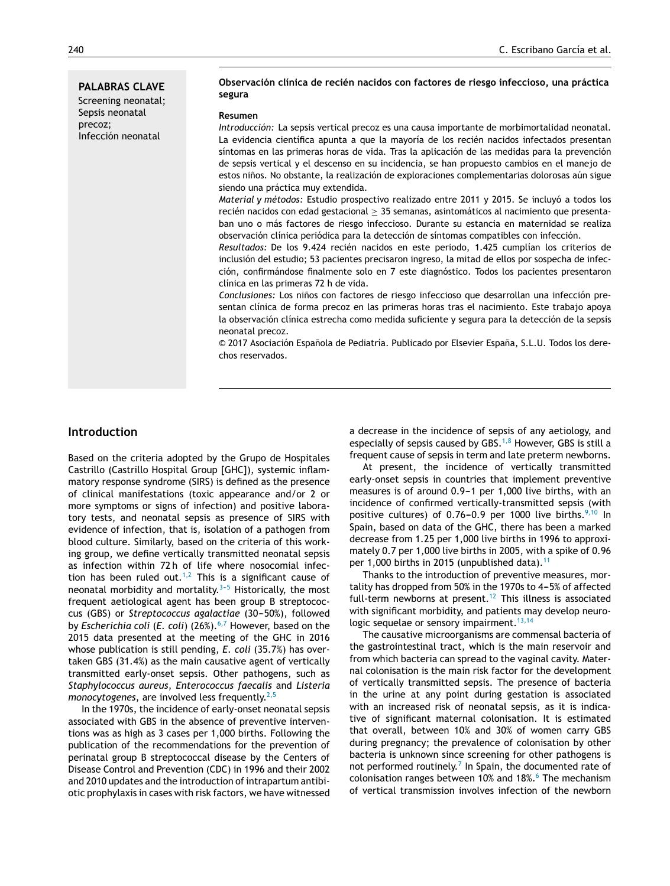**PALABRAS CLAVE** Screening neonatal; Sepsis neonatal precoz; Infección neonatal

#### **Observación clínica de recién nacidos con factores de riesgo infeccioso, una práctica segura**

#### **Resumen**

*Introducción:* La sepsis vertical precoz es una causa importante de morbimortalidad neonatal. La evidencia científica apunta a que la mayoría de los recién nacidos infectados presentan síntomas en las primeras horas de vida. Tras la aplicación de las medidas para la prevención de sepsis vertical y el descenso en su incidencia, se han propuesto cambios en el manejo de estos niños. No obstante, la realización de exploraciones complementarias dolorosas aún sigue siendo una práctica muy extendida.

*Material y métodos:* Estudio prospectivo realizado entre 2011 y 2015. Se incluyó a todos los recién nacidos con edad gestacional ≥ 35 semanas, asintomáticos al nacimiento que presentaban uno o más factores de riesgo infeccioso. Durante su estancia en maternidad se realiza observación clínica periódica para la detección de síntomas compatibles con infección.

*Resultados:* De los 9.424 recién nacidos en este periodo, 1.425 cumplían los criterios de inclusión del estudio; 53 pacientes precisaron ingreso, la mitad de ellos por sospecha de infección, confirmándose finalmente solo en 7 este diagnóstico. Todos los pacientes presentaron clínica en las primeras 72 h de vida.

Conclusiones: Los niños con factores de riesgo infeccioso que desarrollan una infección presentan clínica de forma precoz en las primeras horas tras el nacimiento. Este trabajo apoya la observación clínica estrecha como medida suficiente y segura para la detección de la sepsis neonatal precoz.

© 2017 Asociación Española de Pediatría. Publicado por Elsevier España, S.L.U. Todos los derechos reservados.

## **Introduction**

Based on the criteria adopted by the Grupo de Hospitales Castrillo (Castrillo Hospital Group [GHC]), systemic inflammatory response syndrome (SIRS) is defined as the presence of clinical manifestations (toxic appearance and/or 2 or more symptoms or signs of infection) and positive laboratory tests, and neonatal sepsis as presence of SIRS with evidence of infection, that is, isolation of a pathogen from blood culture. Similarly, based on the criteria of this working group, we define vertically transmitted neonatal sepsis as infection within 72 h of life where nosocomial infec-tion has been ruled out.<sup>[1,2](#page-6-0)</sup> This is a significant cause of neonatal morbidity and mortality. $3-5$  Historically, the most frequent aetiological agent has been group B streptococcus (GBS) or *Streptococcus agalactiae* (30-50%), followed by *Escherichia coli* (*E. coli*) (26%).<sup>[6,7](#page-6-0)</sup> However, based on the 2015 data presented at the meeting of the GHC in 2016 whose publication is still pending, *E. coli* (35.7%) has overtaken GBS (31.4%) as the main causative agent of vertically transmitted early-onset sepsis. Other pathogens, such as *Staphylococcus aureus*, *Enterococcus faecalis* and *Listeria monocytogenes*, are involved less frequently.<sup>[2,5](#page-6-0)</sup>

In the 1970s, the incidence of early-onset neonatal sepsis associated with GBS in the absence of preventive interventions was as high as 3 cases per 1,000 births. Following the publication of the recommendations for the prevention of perinatal group B streptococcal disease by the Centers of Disease Control and Prevention (CDC) in 1996 and their 2002 and 2010 updates and the introduction of intrapartum antibiotic prophylaxis in cases with risk factors, we have witnessed

a decrease in the incidence of sepsis of any aetiology, and especially of sepsis caused by GBS. $1,8$  However, GBS is still a frequent cause of sepsis in term and late preterm newborns.

At present, the incidence of vertically transmitted early-onset sepsis in countries that implement preventive measures is of around  $0.9-1$  per 1,000 live births, with an incidence of confirmed vertically-transmitted sepsis (with positive cultures) of  $0.76-0.9$  per 1000 live births.<sup>[9,10](#page-6-0)</sup> In Spain, based on data of the GHC, there has been a marked decrease from 1.25 per 1,000 live births in 1996 to approximately 0.7 per 1,000 live births in 2005, with a spike of 0.96 per 1,000 births in 2015 (unpublished data).<sup>[11](#page-6-0)</sup>

Thanks to the introduction of preventive measures, mortality has dropped from 50% in the 1970s to 4-5% of affected full-term newborns at present.<sup>[12](#page-6-0)</sup> This illness is associated with significant morbidity, and patients may develop neuro-logic sequelae or sensory impairment.<sup>[13,14](#page-6-0)</sup>

The causative microorganisms are commensal bacteria of the gastrointestinal tract, which is the main reservoir and from which bacteria can spread to the vaginal cavity. Maternal colonisation is the main risk factor for the development of vertically transmitted sepsis. The presence of bacteria in the urine at any point during gestation is associated with an increased risk of neonatal sepsis, as it is indicative of significant maternal colonisation. It is estimated that overall, between 10% and 30% of women carry GBS during pregnancy; the prevalence of colonisation by other bacteria is unknown since screening for other pathogens is not performed routinely.<sup>7</sup> [I](#page-6-0)n Spain, the documented rate of colonisation ranges between 10% and 18%.<sup>6</sup> [T](#page-6-0)he mechanism of vertical transmission involves infection of the newborn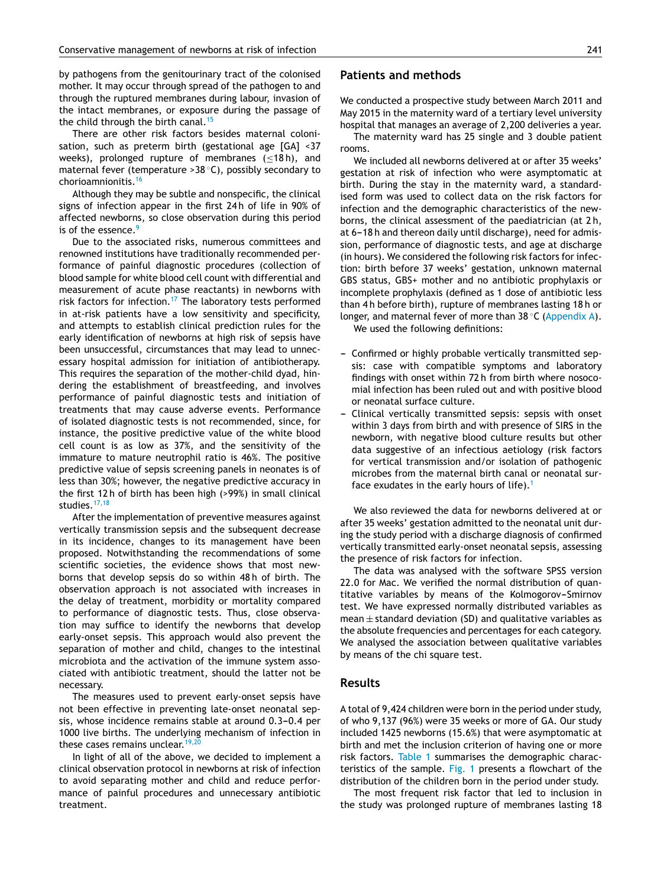by pathogens from the genitourinary tract of the colonised mother. It may occur through spread of the pathogen to and through the ruptured membranes during labour, invasion of the intact membranes, or exposure during the passage of the child through the birth canal.<sup>[15](#page-6-0)</sup>

There are other risk factors besides maternal colonisation, such as preterm birth (gestational age [GA] <37 weeks), prolonged rupture of membranes (<18h), and maternal fever (temperature >38 ◦C), possibly secondary to chorioamnionitis.[16](#page-6-0)

Although they may be subtle and nonspecific, the clinical signs of infection appear in the first 24 h of life in 90% of affected newborns, so close observation during this period is of the essence. $9$ 

Due to the associated risks, numerous committees and renowned institutions have traditionally recommended performance of painful diagnostic procedures (collection of blood sample for white blood cell count with differential and measurement of acute phase reactants) in newborns with risk factors for infection.<sup>[17](#page-6-0)</sup> The laboratory tests performed in at-risk patients have a low sensitivity and specificity, and attempts to establish clinical prediction rules for the early identification of newborns at high risk of sepsis have been unsuccessful, circumstances that may lead to unnecessary hospital admission for initiation of antibiotherapy. This requires the separation of the mother-child dyad, hindering the establishment of breastfeeding, and involves performance of painful diagnostic tests and initiation of treatments that may cause adverse events. Performance of isolated diagnostic tests is not recommended, since, for instance, the positive predictive value of the white blood cell count is as low as 37%, and the sensitivity of the immature to mature neutrophil ratio is 46%. The positive predictive value of sepsis screening panels in neonates is of less than 30%; however, the negative predictive accuracy in the first 12 h of birth has been high (>99%) in small clinical studies.<sup>[17,18](#page-6-0)</sup>

After the implementation of preventive measures against vertically transmission sepsis and the subsequent decrease in its incidence, changes to its management have been proposed. Notwithstanding the recommendations of some scientific societies, the evidence shows that most newborns that develop sepsis do so within 48 h of birth. The observation approach is not associated with increases in the delay of treatment, morbidity or mortality compared to performance of diagnostic tests. Thus, close observation may suffice to identify the newborns that develop early-onset sepsis. This approach would also prevent the separation of mother and child, changes to the intestinal microbiota and the activation of the immune system associated with antibiotic treatment, should the latter not be necessary.

The measures used to prevent early-onset sepsis have not been effective in preventing late-onset neonatal sepsis, whose incidence remains stable at around 0.3-0.4 per 1000 live births. The underlying mechanism of infection in these cases remains unclear.  $19,20$ 

In light of all of the above, we decided to implement a clinical observation protocol in newborns at risk of infection to avoid separating mother and child and reduce performance of painful procedures and unnecessary antibiotic treatment.

### **Patients and methods**

We conducted a prospective study between March 2011 and May 2015 in the maternity ward of a tertiary level university hospital that manages an average of 2,200 deliveries a year.

The maternity ward has 25 single and 3 double patient rooms.

We included all newborns delivered at or after 35 weeks' gestation at risk of infection who were asymptomatic at birth. During the stay in the maternity ward, a standardised form was used to collect data on the risk factors for infection and the demographic characteristics of the newborns, the clinical assessment of the paediatrician (at 2 h, at 6-18 h and thereon daily until discharge), need for admission, performance of diagnostic tests, and age at discharge (in hours). We considered the following risk factors for infection: birth before 37 weeks' gestation, unknown maternal GBS status, GBS+ mother and no antibiotic prophylaxis or incomplete prophylaxis (defined as 1 dose of antibiotic less than 4 h before birth), rupture of membranes lasting 18 h or longer, and maternal fever of more than 38 ◦C [\(Appendix](#page-5-0) A).

We used the following definitions:

- Confirmed or highly probable vertically transmitted sepsis: case with compatible symptoms and laboratory findings with onset within 72 h from birth where nosocomial infection has been ruled out and with positive blood or neonatal surface culture.
- Clinical vertically transmitted sepsis: sepsis with onset within 3 days from birth and with presence of SIRS in the newborn, with negative blood culture results but other data suggestive of an infectious aetiology (risk factors for vertical transmission and/or isolation of pathogenic microbes from the maternal birth canal or neonatal sur-face exudates in the early hours of life).<sup>[1](#page-6-0)</sup>

We also reviewed the data for newborns delivered at or after 35 weeks' gestation admitted to the neonatal unit during the study period with a discharge diagnosis of confirmed vertically transmitted early-onset neonatal sepsis, assessing the presence of risk factors for infection.

The data was analysed with the software SPSS version 22.0 for Mac. We verified the normal distribution of quantitative variables by means of the Kolmogorov-Smirnov test. We have expressed normally distributed variables as  $mean \pm$  standard deviation (SD) and qualitative variables as the absolute frequencies and percentages for each category. We analysed the association between qualitative variables by means of the chi square test.

## **Results**

A total of 9,424 children were born in the period under study, of who 9,137 (96%) were 35 weeks or more of GA. Our study included 1425 newborns (15.6%) that were asymptomatic at birth and met the inclusion criterion of having one or more risk factors. [Table](#page-3-0) 1 summarises the demographic characteristics of the sample. [Fig.](#page-3-0) 1 presents a flowchart of the distribution of the children born in the period under study.

The most frequent risk factor that led to inclusion in the study was prolonged rupture of membranes lasting 18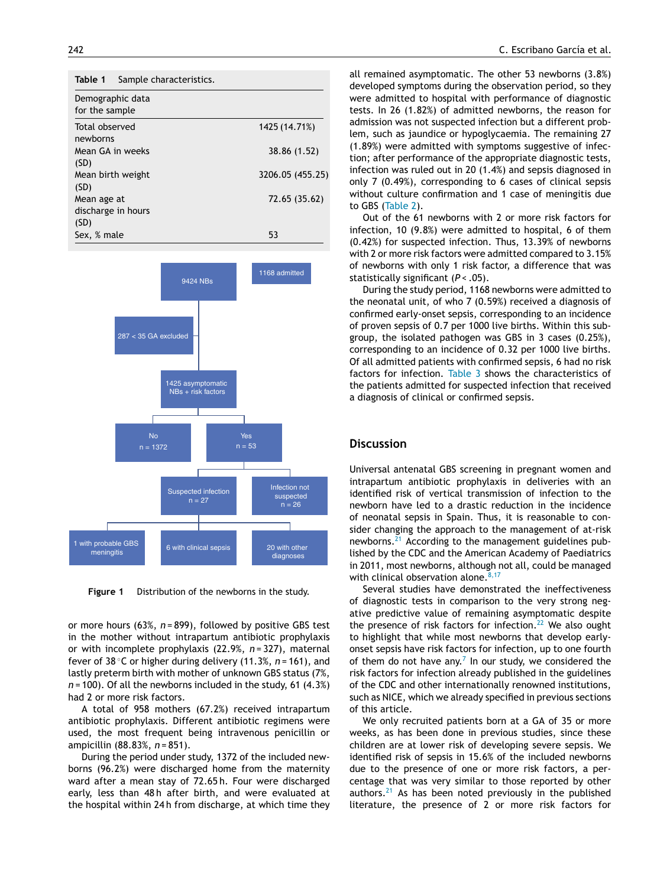<span id="page-3-0"></span>

| Table 1<br>Sample characteristics.        |                  |
|-------------------------------------------|------------------|
| Demographic data<br>for the sample        |                  |
| Total observed<br>newborns                | 1425 (14.71%)    |
| Mean GA in weeks<br>(SD)                  | 38.86 (1.52)     |
| Mean birth weight<br>(SD)                 | 3206.05 (455.25) |
| Mean age at<br>discharge in hours<br>(SD) | 72.65 (35.62)    |
| Sex, % male                               | 53               |



**Figure 1** Distribution of the newborns in the study.

or more hours (63%, *n* = 899), followed by positive GBS test in the mother without intrapartum antibiotic prophylaxis or with incomplete prophylaxis (22.9%, *n* = 327), maternal fever of 38 ◦C or higher during delivery (11.3%, *n* = 161), and lastly preterm birth with mother of unknown GBS status (7%, *n* = 100). Of all the newborns included in the study, 61 (4.3%) had 2 or more risk factors.

A total of 958 mothers (67.2%) received intrapartum antibiotic prophylaxis. Different antibiotic regimens were used, the most frequent being intravenous penicillin or ampicillin (88.83%, *n* = 851).

During the period under study, 1372 of the included newborns (96.2%) were discharged home from the maternity ward after a mean stay of 72.65 h. Four were discharged early, less than 48h after birth, and were evaluated at the hospital within 24 h from discharge, at which time they

all remained asymptomatic. The other 53 newborns (3.8%) developed symptoms during the observation period, so they were admitted to hospital with performance of diagnostic tests. In 26 (1.82%) of admitted newborns, the reason for admission was not suspected infection but a different problem, such as jaundice or hypoglycaemia. The remaining 27 (1.89%) were admitted with symptoms suggestive of infection; after performance of the appropriate diagnostic tests, infection was ruled out in 20 (1.4%) and sepsis diagnosed in only 7 (0.49%), corresponding to 6 cases of clinical sepsis without culture confirmation and 1 case of meningitis due to GBS [\(Table](#page-4-0) 2).

Out of the 61 newborns with 2 or more risk factors for infection, 10 (9.8%) were admitted to hospital, 6 of them (0.42%) for suspected infection. Thus, 13.39% of newborns with 2 or more risk factors were admitted compared to 3.15% of newborns with only 1 risk factor, a difference that was statistically significant (*P* < .05).

During the study period, 1168 newborns were admitted to the neonatal unit, of who 7 (0.59%) received a diagnosis of confirmed early-onset sepsis, corresponding to an incidence of proven sepsis of 0.7 per 1000 live births. Within this subgroup, the isolated pathogen was GBS in 3 cases (0.25%), corresponding to an incidence of 0.32 per 1000 live births. Of all admitted patients with confirmed sepsis, 6 had no risk factors for infection. [Table](#page-4-0) 3 shows the characteristics of the patients admitted for suspected infection that received a diagnosis of clinical or confirmed sepsis.

#### **Discussion**

Universal antenatal GBS screening in pregnant women and intrapartum antibiotic prophylaxis in deliveries with an identified risk of vertical transmission of infection to the newborn have led to a drastic reduction in the incidence of neonatal sepsis in Spain. Thus, it is reasonable to consider changing the approach to the management of at-risk newborns.<sup>[21](#page-6-0)</sup> According to the management guidelines published by the CDC and the American Academy of Paediatrics in 2011, most newborns, although not all, could be managed with clinical observation alone.  $8,17$ 

Several studies have demonstrated the ineffectiveness of diagnostic tests in comparison to the very strong negative predictive value of remaining asymptomatic despite the presence of risk factors for infection.<sup>[22](#page-6-0)</sup> We also ought to highlight that while most newborns that develop earlyonset sepsis have risk factors for infection, up to one fourth of them do not have any. $7$  In our study, we considered the risk factors for infection already published in the guidelines of the CDC and other internationally renowned institutions, such as NICE, which we already specified in previous sections of this article.

We only recruited patients born at a GA of 35 or more weeks, as has been done in previous studies, since these children are at lower risk of developing severe sepsis. We identified risk of sepsis in 15.6% of the included newborns due to the presence of one or more risk factors, a percentage that was very similar to those reported by other authors. $21$  As has been noted previously in the published literature, the presence of 2 or more risk factors for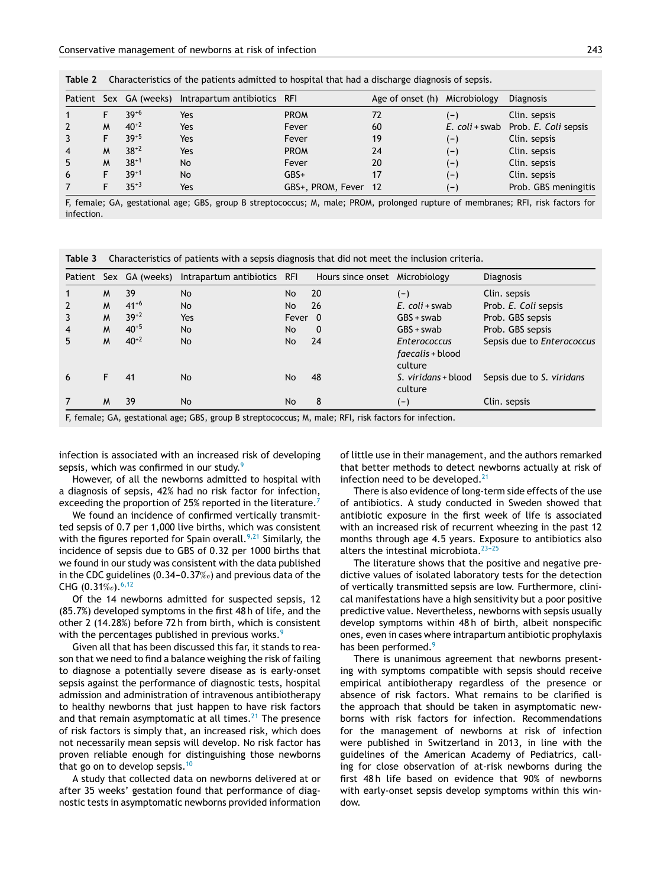|   |   |           | Patient Sex GA (weeks) Intrapartum antibiotics RFI |                      | Age of onset (h) Microbiology |       | <b>Diagnosis</b>                    |
|---|---|-----------|----------------------------------------------------|----------------------|-------------------------------|-------|-------------------------------------|
|   |   | $39^{+6}$ | Yes                                                | <b>PROM</b>          | 72                            | $(-)$ | Clin. sepsis                        |
|   | M | $40^{+2}$ | Yes                                                | Fever                | 60                            |       | E. coli + swab Prob. E. Coli sepsis |
|   |   | $39+5$    | Yes                                                | Fever                | 19                            | $(-)$ | Clin. sepsis                        |
| 4 | м | $38+2$    | Yes                                                | <b>PROM</b>          | 24                            | $(-)$ | Clin. sepsis                        |
| 5 | м | $38+1$    | No                                                 | Fever                | 20                            | $(-)$ | Clin. sepsis                        |
| 6 |   | $39+1$    | No                                                 | $GBS+$               |                               | $(-)$ | Clin. sepsis                        |
|   |   | $35+3$    | Yes                                                | GBS+, PROM, Fever 12 |                               | $(-)$ | Prob. GBS meningitis                |

<span id="page-4-0"></span>

|  |  | Table 2 Characteristics of the patients admitted to hospital that had a discharge diagnosis of sepsis. |  |
|--|--|--------------------------------------------------------------------------------------------------------|--|
|  |  |                                                                                                        |  |

F, female; GA, gestational age; GBS, group B streptococcus; M, male; PROM, prolonged rupture of membranes; RFI, risk factors for infection.

**Table 3** Characteristics of patients with a sepsis diagnosis that did not meet the inclusion criteria.

|                                                                                                       |    |           | Patient Sex GA (weeks) Intrapartum antibiotics RFI |         | Hours since onset Microbiology |                                                    | <b>Diagnosis</b>           |  |
|-------------------------------------------------------------------------------------------------------|----|-----------|----------------------------------------------------|---------|--------------------------------|----------------------------------------------------|----------------------------|--|
| $\mathbf{1}$                                                                                          | M  | 39        | No                                                 | No      | 20                             | $(-)$                                              | Clin. sepsis               |  |
| $\overline{2}$                                                                                        | M  | $41^{+6}$ | No                                                 | No      | 26                             | $E.$ coli + swab                                   | Prob. E. Coli sepsis       |  |
| 3                                                                                                     | M  | $39+2$    | Yes                                                | Fever 0 |                                | $GBS + swab$                                       | Prob. GBS sepsis           |  |
| 4                                                                                                     | M  | $40^{+5}$ | No                                                 | No.     | 0                              | $GBS + swab$                                       | Prob. GBS sepsis           |  |
| 5                                                                                                     | M  | $40^{+2}$ | No                                                 | No      | 24                             | <b>Enterococcus</b><br>faecalis + blood<br>culture | Sepsis due to Enterococcus |  |
| 6                                                                                                     | F. | 41        | <b>No</b>                                          | No      | 48                             | S. viridans + blood<br>culture                     | Sepsis due to S. viridans  |  |
| 7                                                                                                     | M  | 39        | No                                                 | No      | 8                              | $(-)$                                              | Clin. sepsis               |  |
| F, female; GA, gestational age; GBS, group B streptococcus; M, male; RFI, risk factors for infection. |    |           |                                                    |         |                                |                                                    |                            |  |

infection is associated with an increased risk of developing sepsis, which was confirmed in our study.<sup>[9](#page-6-0)</sup>

However, of all the newborns admitted to hospital with a diagnosis of sepsis, 42% had no risk factor for infection, exceeding the proportion of 25% reported in the literature.<sup>[7](#page-6-0)</sup>

We found an incidence of confirmed vertically transmitted sepsis of 0.7 per 1,000 live births, which was consistent with the figures reported for Spain overall.<sup>[9,21](#page-6-0)</sup> Similarly, the incidence of sepsis due to GBS of 0.32 per 1000 births that we found in our study was consistent with the data published in the CDC guidelines (0.34–0.37‰) and previous data of the CHG  $(0.31\%_{o})$ . [6,12](#page-6-0)

Of the 14 newborns admitted for suspected sepsis, 12 (85.7%) developed symptoms in the first 48 h of life, and the other 2 (14.28%) before 72 h from birth, which is consistent with the percentages published in previous works.<sup>[9](#page-6-0)</sup>

Given all that has been discussed this far, it stands to reason that we need to find a balance weighing the risk of failing to diagnose a potentially severe disease as is early-onset sepsis against the performance of diagnostic tests, hospital admission and administration of intravenous antibiotherapy to healthy newborns that just happen to have risk factors and that remain asymptomatic at all times. $^{21}$  $^{21}$  $^{21}$  The presence of risk factors is simply that, an increased risk, which does not necessarily mean sepsis will develop. No risk factor has proven reliable enough for distinguishing those newborns that go on to develop sepsis.<sup>[10](#page-6-0)</sup>

A study that collected data on newborns delivered at or after 35 weeks' gestation found that performance of diagnostic tests in asymptomatic newborns provided information of little use in their management, and the authors remarked that better methods to detect newborns actually at risk of infection need to be developed. $21$ 

There is also evidence of long-term side effects of the use of antibiotics. A study conducted in Sweden showed that antibiotic exposure in the first week of life is associated with an increased risk of recurrent wheezing in the past 12 months through age 4.5 years. Exposure to antibiotics also alters the intestinal microbiota. $23-25$ 

The literature shows that the positive and negative predictive values of isolated laboratory tests for the detection of vertically transmitted sepsis are low. Furthermore, clinical manifestations have a high sensitivity but a poor positive predictive value. Nevertheless, newborns with sepsis usually develop symptoms within 48 h of birth, albeit nonspecific ones, even in cases where intrapartum antibiotic prophylaxis has been performed.<sup>[9](#page-6-0)</sup>

There is unanimous agreement that newborns presenting with symptoms compatible with sepsis should receive empirical antibiotherapy regardless of the presence or absence of risk factors. What remains to be clarified is the approach that should be taken in asymptomatic newborns with risk factors for infection. Recommendations for the management of newborns at risk of infection were published in Switzerland in 2013, in line with the guidelines of the American Academy of Pediatrics, calling for close observation of at-risk newborns during the first 48 h life based on evidence that 90% of newborns with early-onset sepsis develop symptoms within this window.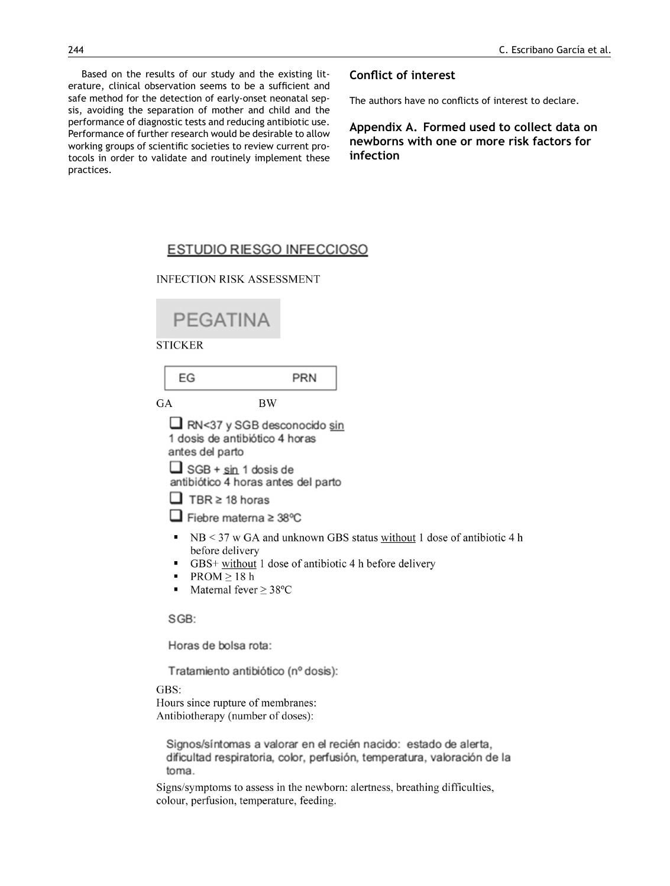<span id="page-5-0"></span>Based on the results of our study and the existing literature, clinical observation seems to be a sufficient and safe method for the detection of early-onset neonatal sepsis, avoiding the separation of mother and child and the performance of diagnostic tests and reducing antibiotic use. Performance of further research would be desirable to allow working groups of scientific societies to review current protocols in order to validate and routinely implement these practices.

## **Conflict of interest**

The authors have no conflicts of interest to declare.

**Appendix A. Formed used to collect data on newborns with one or more risk factors for infection**

## ESTUDIO RIESGO INFECCIOSO

**INFECTION RISK ASSESSMENT** 

| PEGATINA                                                                                                                                                                                                                                                                                                                                                    |           |            |  |                                                                        |  |
|-------------------------------------------------------------------------------------------------------------------------------------------------------------------------------------------------------------------------------------------------------------------------------------------------------------------------------------------------------------|-----------|------------|--|------------------------------------------------------------------------|--|
| <b>STICKER</b>                                                                                                                                                                                                                                                                                                                                              |           |            |  |                                                                        |  |
| EG                                                                                                                                                                                                                                                                                                                                                          |           | <b>PRN</b> |  |                                                                        |  |
| GA                                                                                                                                                                                                                                                                                                                                                          | <b>BW</b> |            |  |                                                                        |  |
| RN<37 y SGB desconocido sin<br>1 dosis de antibiótico 4 horas<br>antes del parto<br>$\Box$ SGB + sin 1 dosis de<br>antibiótico 4 horas antes del parto<br>$\Box$ TBR $\geq$ 18 horas<br>$\Box$ Fiebre materna ≥ 38°C<br>before delivery<br>GBS+ without 1 dose of antibiotic 4 h before delivery<br>п<br>PROM > 18h<br>٠<br>Maternal fever $\geq$ 38°C<br>٠ |           |            |  | $NB < 37$ w GA and unknown GBS status without 1 dose of antibiotic 4 h |  |
| SGB:                                                                                                                                                                                                                                                                                                                                                        |           |            |  |                                                                        |  |
| Horas de bolsa rota:                                                                                                                                                                                                                                                                                                                                        |           |            |  |                                                                        |  |
| Tratamiento antibiótico (nº dosis):                                                                                                                                                                                                                                                                                                                         |           |            |  |                                                                        |  |

GBS:

Hours since rupture of membranes: Antibiotherapy (number of doses):

Signos/síntomas a valorar en el recién nacido: estado de alerta, dificultad respiratoria, color, perfusión, temperatura, valoración de la toma.

Signs/symptoms to assess in the newborn: alertness, breathing difficulties, colour, perfusion, temperature, feeding.